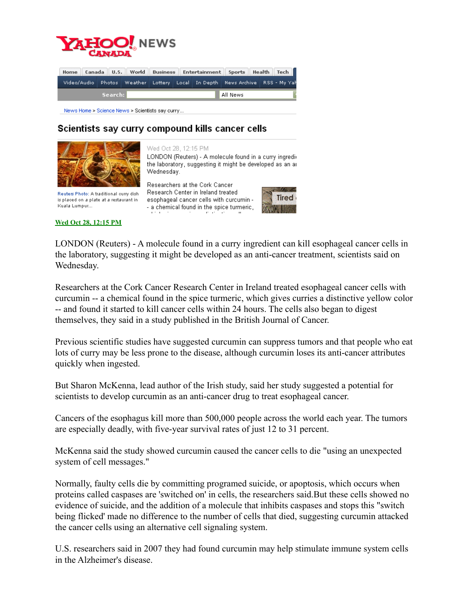

|         |  |  |  |  |          |  | Home Canada U.S. World Business Entertainment Sports Health Tech |                                                                                           |  |  |  |
|---------|--|--|--|--|----------|--|------------------------------------------------------------------|-------------------------------------------------------------------------------------------|--|--|--|
|         |  |  |  |  |          |  |                                                                  | Video/Audio   Photos   Weather   Lottery   Local   In Depth   News Archive   RSS - My Yah |  |  |  |
| Search: |  |  |  |  | All News |  |                                                                  |                                                                                           |  |  |  |
|         |  |  |  |  |          |  |                                                                  |                                                                                           |  |  |  |

News Home > Science News > Scientists say curry...

## Scientists say curry compound kills cancer cells



**Wed Oct 28, 12:15 PM**

Kuala Lumpur...

Wed Oct 28, 12:15 PM

LONDON (Reuters) - A molecule found in a curry ingredithe laboratory, suggesting it might be developed as an ar Wednesday.

Researchers at the Cork Cancer Research Center in Ireland treated Reuters Photo: A traditional curry dish is placed on a plate at a restaurant in esophageal cancer cells with curcumin -- a chemical found in the spice turmeric,



LONDON (Reuters) - A molecule found in a curry ingredient can kill esophageal cancer cells in the laboratory, suggesting it might be developed as an anti-cancer treatment, scientists said on Wednesday.

Researchers at the Cork Cancer Research Center in Ireland treated esophageal cancer cells with curcumin -- a chemical found in the spice turmeric, which gives curries a distinctive yellow color -- and found it started to kill cancer cells within 24 hours. The cells also began to digest themselves, they said in a study published in the British Journal of Cancer.

Previous scientific studies have suggested curcumin can suppress tumors and that people who eat lots of curry may be less prone to the disease, although curcumin loses its anti-cancer attributes quickly when ingested.

But Sharon McKenna, lead author of the Irish study, said her study suggested a potential for scientists to develop curcumin as an anti-cancer drug to treat esophageal cancer.

Cancers of the esophagus kill more than 500,000 people across the world each year. The tumors are especially deadly, with five-year survival rates of just 12 to 31 percent.

McKenna said the study showed curcumin caused the cancer cells to die "using an unexpected system of cell messages."

Normally, faulty cells die by committing programed suicide, or apoptosis, which occurs when proteins called caspases are 'switched on' in cells, the researchers said.But these cells showed no evidence of suicide, and the addition of a molecule that inhibits caspases and stops this "switch being flicked' made no difference to the number of cells that died, suggesting curcumin attacked the cancer cells using an alternative cell signaling system.

U.S. researchers said in 2007 they had found curcumin may help stimulate immune system cells in the Alzheimer's disease.